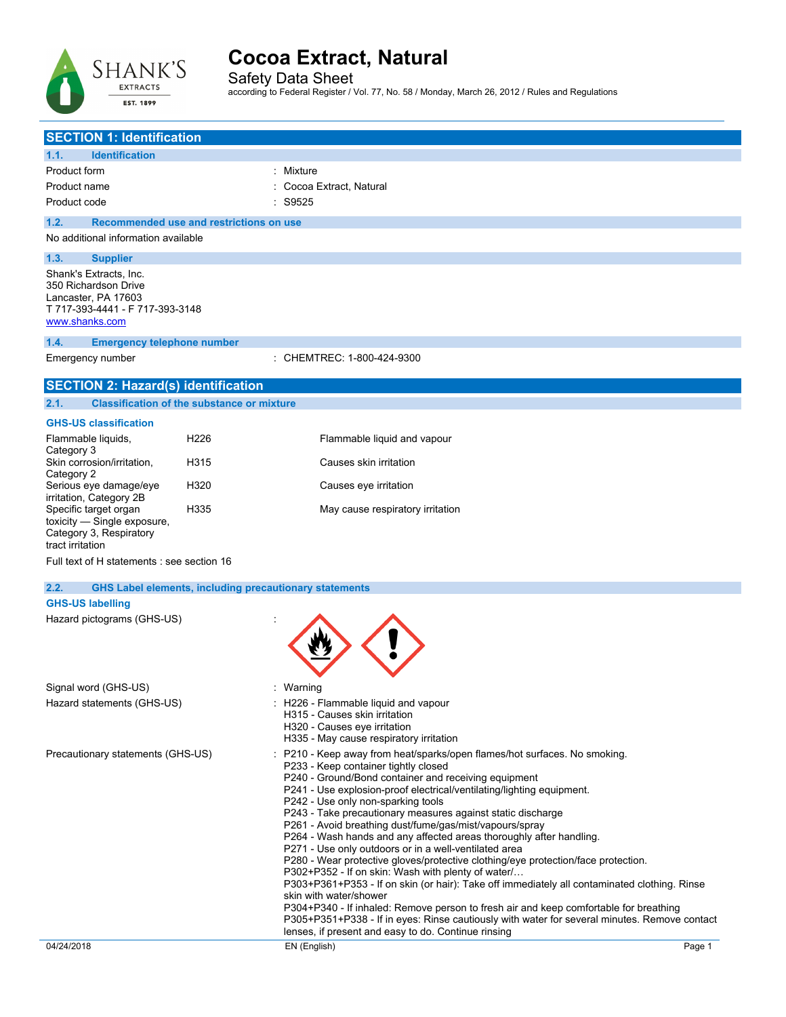

Safety Data Sheet according to Federal Register / Vol. 77, No. 58 / Monday, March 26, 2012 / Rules and Regulations

| <b>SECTION 1: Identification</b>                                                                                           |                    |                                                                                                                                                                                                                                                                                                                                                                                                                                                                                                                                                                                                                                                                                                                                                                                                                                                                                                                                                                                                                                                                       |        |
|----------------------------------------------------------------------------------------------------------------------------|--------------------|-----------------------------------------------------------------------------------------------------------------------------------------------------------------------------------------------------------------------------------------------------------------------------------------------------------------------------------------------------------------------------------------------------------------------------------------------------------------------------------------------------------------------------------------------------------------------------------------------------------------------------------------------------------------------------------------------------------------------------------------------------------------------------------------------------------------------------------------------------------------------------------------------------------------------------------------------------------------------------------------------------------------------------------------------------------------------|--------|
| 1.1.<br><b>Identification</b>                                                                                              |                    |                                                                                                                                                                                                                                                                                                                                                                                                                                                                                                                                                                                                                                                                                                                                                                                                                                                                                                                                                                                                                                                                       |        |
| Product form                                                                                                               | : Mixture          |                                                                                                                                                                                                                                                                                                                                                                                                                                                                                                                                                                                                                                                                                                                                                                                                                                                                                                                                                                                                                                                                       |        |
| Product name                                                                                                               |                    | Cocoa Extract, Natural                                                                                                                                                                                                                                                                                                                                                                                                                                                                                                                                                                                                                                                                                                                                                                                                                                                                                                                                                                                                                                                |        |
| Product code                                                                                                               | $\therefore$ S9525 |                                                                                                                                                                                                                                                                                                                                                                                                                                                                                                                                                                                                                                                                                                                                                                                                                                                                                                                                                                                                                                                                       |        |
| Recommended use and restrictions on use<br>1.2.                                                                            |                    |                                                                                                                                                                                                                                                                                                                                                                                                                                                                                                                                                                                                                                                                                                                                                                                                                                                                                                                                                                                                                                                                       |        |
| No additional information available                                                                                        |                    |                                                                                                                                                                                                                                                                                                                                                                                                                                                                                                                                                                                                                                                                                                                                                                                                                                                                                                                                                                                                                                                                       |        |
| 1.3.<br><b>Supplier</b>                                                                                                    |                    |                                                                                                                                                                                                                                                                                                                                                                                                                                                                                                                                                                                                                                                                                                                                                                                                                                                                                                                                                                                                                                                                       |        |
| Shank's Extracts, Inc.<br>350 Richardson Drive<br>Lancaster, PA 17603<br>T 717-393-4441 - F 717-393-3148<br>www.shanks.com |                    |                                                                                                                                                                                                                                                                                                                                                                                                                                                                                                                                                                                                                                                                                                                                                                                                                                                                                                                                                                                                                                                                       |        |
| 1.4.<br><b>Emergency telephone number</b>                                                                                  |                    |                                                                                                                                                                                                                                                                                                                                                                                                                                                                                                                                                                                                                                                                                                                                                                                                                                                                                                                                                                                                                                                                       |        |
| Emergency number                                                                                                           |                    | : CHEMTREC: 1-800-424-9300                                                                                                                                                                                                                                                                                                                                                                                                                                                                                                                                                                                                                                                                                                                                                                                                                                                                                                                                                                                                                                            |        |
| <b>SECTION 2: Hazard(s) identification</b>                                                                                 |                    |                                                                                                                                                                                                                                                                                                                                                                                                                                                                                                                                                                                                                                                                                                                                                                                                                                                                                                                                                                                                                                                                       |        |
| <b>Classification of the substance or mixture</b><br>2.1.                                                                  |                    |                                                                                                                                                                                                                                                                                                                                                                                                                                                                                                                                                                                                                                                                                                                                                                                                                                                                                                                                                                                                                                                                       |        |
| <b>GHS-US classification</b>                                                                                               |                    |                                                                                                                                                                                                                                                                                                                                                                                                                                                                                                                                                                                                                                                                                                                                                                                                                                                                                                                                                                                                                                                                       |        |
| H <sub>226</sub><br>Flammable liquids,                                                                                     |                    | Flammable liquid and vapour                                                                                                                                                                                                                                                                                                                                                                                                                                                                                                                                                                                                                                                                                                                                                                                                                                                                                                                                                                                                                                           |        |
| Category 3<br>Skin corrosion/irritation,<br>H315                                                                           |                    | Causes skin irritation                                                                                                                                                                                                                                                                                                                                                                                                                                                                                                                                                                                                                                                                                                                                                                                                                                                                                                                                                                                                                                                |        |
| Category 2                                                                                                                 |                    |                                                                                                                                                                                                                                                                                                                                                                                                                                                                                                                                                                                                                                                                                                                                                                                                                                                                                                                                                                                                                                                                       |        |
| Serious eye damage/eye<br>H320<br>irritation, Category 2B                                                                  |                    | Causes eye irritation                                                                                                                                                                                                                                                                                                                                                                                                                                                                                                                                                                                                                                                                                                                                                                                                                                                                                                                                                                                                                                                 |        |
| Specific target organ<br>H335<br>toxicity - Single exposure,<br>Category 3, Respiratory<br>tract irritation                |                    | May cause respiratory irritation                                                                                                                                                                                                                                                                                                                                                                                                                                                                                                                                                                                                                                                                                                                                                                                                                                                                                                                                                                                                                                      |        |
| Full text of H statements : see section 16                                                                                 |                    |                                                                                                                                                                                                                                                                                                                                                                                                                                                                                                                                                                                                                                                                                                                                                                                                                                                                                                                                                                                                                                                                       |        |
| 2.2.<br><b>GHS Label elements, including precautionary statements</b>                                                      |                    |                                                                                                                                                                                                                                                                                                                                                                                                                                                                                                                                                                                                                                                                                                                                                                                                                                                                                                                                                                                                                                                                       |        |
| <b>GHS-US labelling</b>                                                                                                    |                    |                                                                                                                                                                                                                                                                                                                                                                                                                                                                                                                                                                                                                                                                                                                                                                                                                                                                                                                                                                                                                                                                       |        |
| Hazard pictograms (GHS-US)                                                                                                 |                    |                                                                                                                                                                                                                                                                                                                                                                                                                                                                                                                                                                                                                                                                                                                                                                                                                                                                                                                                                                                                                                                                       |        |
| Signal word (GHS-US)                                                                                                       | : Warning          |                                                                                                                                                                                                                                                                                                                                                                                                                                                                                                                                                                                                                                                                                                                                                                                                                                                                                                                                                                                                                                                                       |        |
| Hazard statements (GHS-US)                                                                                                 |                    | : H226 - Flammable liquid and vapour<br>H315 - Causes skin irritation<br>H320 - Causes eye irritation<br>H335 - May cause respiratory irritation                                                                                                                                                                                                                                                                                                                                                                                                                                                                                                                                                                                                                                                                                                                                                                                                                                                                                                                      |        |
| Precautionary statements (GHS-US)                                                                                          |                    | P210 - Keep away from heat/sparks/open flames/hot surfaces. No smoking.<br>P233 - Keep container tightly closed<br>P240 - Ground/Bond container and receiving equipment<br>P241 - Use explosion-proof electrical/ventilating/lighting equipment.<br>P242 - Use only non-sparking tools<br>P243 - Take precautionary measures against static discharge<br>P261 - Avoid breathing dust/fume/gas/mist/vapours/spray<br>P264 - Wash hands and any affected areas thoroughly after handling.<br>P271 - Use only outdoors or in a well-ventilated area<br>P280 - Wear protective gloves/protective clothing/eye protection/face protection.<br>P302+P352 - If on skin: Wash with plenty of water/<br>P303+P361+P353 - If on skin (or hair): Take off immediately all contaminated clothing. Rinse<br>skin with water/shower<br>P304+P340 - If inhaled: Remove person to fresh air and keep comfortable for breathing<br>P305+P351+P338 - If in eyes: Rinse cautiously with water for several minutes. Remove contact<br>lenses, if present and easy to do. Continue rinsing |        |
| 04/24/2018                                                                                                                 |                    | EN (English)                                                                                                                                                                                                                                                                                                                                                                                                                                                                                                                                                                                                                                                                                                                                                                                                                                                                                                                                                                                                                                                          | Page 1 |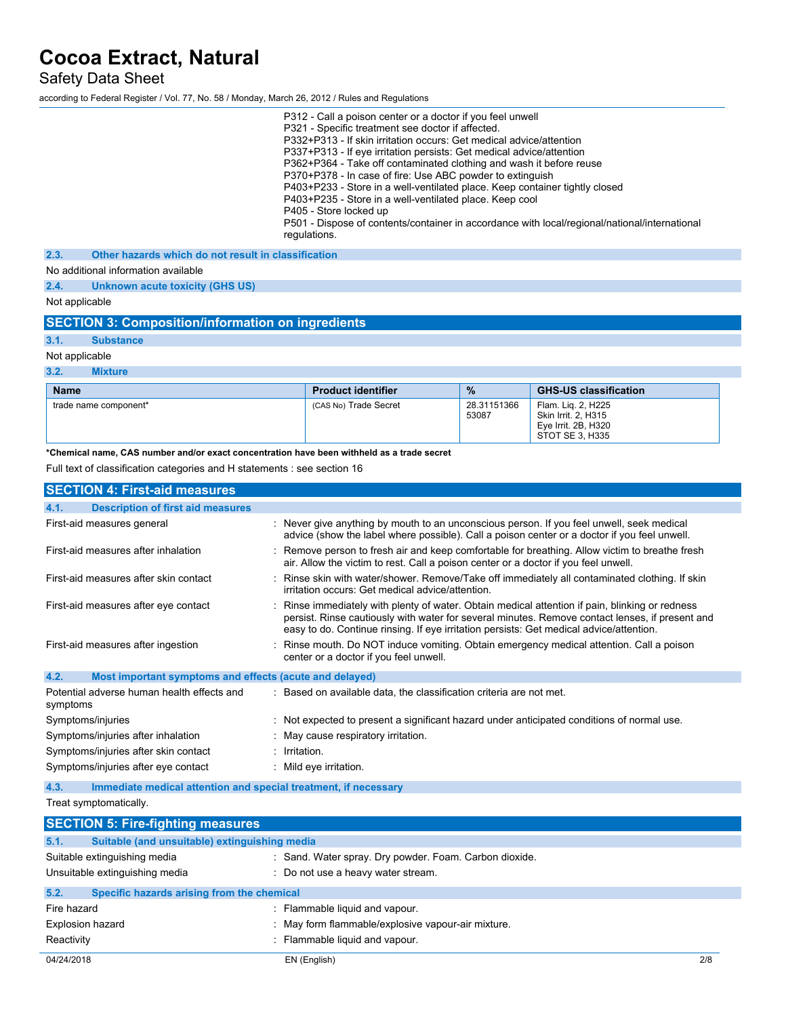Safety Data Sheet

according to Federal Register / Vol. 77, No. 58 / Monday, March 26, 2012 / Rules and Regulations

| P312 - Call a poison center or a doctor if you feel unwell                                    |  |
|-----------------------------------------------------------------------------------------------|--|
| P321 - Specific treatment see doctor if affected.                                             |  |
| P332+P313 - If skin irritation occurs: Get medical advice/attention                           |  |
| P337+P313 - If eye irritation persists: Get medical advice/attention                          |  |
| P362+P364 - Take off contaminated clothing and wash it before reuse                           |  |
| P370+P378 - In case of fire: Use ABC powder to extinguish                                     |  |
| P403+P233 - Store in a well-ventilated place. Keep container tightly closed                   |  |
| P403+P235 - Store in a well-ventilated place. Keep cool                                       |  |
| P405 - Store locked up                                                                        |  |
| P501 - Dispose of contents/container in accordance with local/regional/national/international |  |
| regulations.                                                                                  |  |
| 2.3.<br>Other hazards which do not result in classification                                   |  |
|                                                                                               |  |
| No additional information available                                                           |  |

**2.4. Unknown acute toxicity (GHS US)**

Not applicable

# **SECTION 3: Composition/information on ingredients**

**3.1. Substance**

Not applicable

**3.2. Mixture**

| <b>Name</b>           | <b>Product identifier</b> | $\frac{9}{6}$        | <b>GHS-US classification</b>                                                        |
|-----------------------|---------------------------|----------------------|-------------------------------------------------------------------------------------|
| trade name component* | (CAS No) Trade Secret     | 28.31151366<br>53087 | Flam. Lig. 2, H225<br>Skin Irrit. 2. H315<br>Eve Irrit, 2B, H320<br>STOT SE 3. H335 |

**\*Chemical name, CAS number and/or exact concentration have been withheld as a trade secret**

Full text of classification categories and H statements : see section 16

| <b>SECTION 4: First-aid measures</b>                                    |                                                                                                                                                                                                                                                                                               |  |
|-------------------------------------------------------------------------|-----------------------------------------------------------------------------------------------------------------------------------------------------------------------------------------------------------------------------------------------------------------------------------------------|--|
| 4.1.<br><b>Description of first aid measures</b>                        |                                                                                                                                                                                                                                                                                               |  |
| First-aid measures general                                              | : Never give anything by mouth to an unconscious person. If you feel unwell, seek medical<br>advice (show the label where possible). Call a poison center or a doctor if you feel unwell.                                                                                                     |  |
| First-aid measures after inhalation                                     | : Remove person to fresh air and keep comfortable for breathing. Allow victim to breathe fresh<br>air. Allow the victim to rest. Call a poison center or a doctor if you feel unwell.                                                                                                         |  |
| First-aid measures after skin contact                                   | : Rinse skin with water/shower. Remove/Take off immediately all contaminated clothing. If skin<br>irritation occurs: Get medical advice/attention.                                                                                                                                            |  |
| First-aid measures after eye contact                                    | : Rinse immediately with plenty of water. Obtain medical attention if pain, blinking or redness<br>persist. Rinse cautiously with water for several minutes. Remove contact lenses, if present and<br>easy to do. Continue rinsing. If eye irritation persists: Get medical advice/attention. |  |
| First-aid measures after ingestion                                      | : Rinse mouth. Do NOT induce vomiting. Obtain emergency medical attention. Call a poison<br>center or a doctor if you feel unwell.                                                                                                                                                            |  |
| 4.2.<br>Most important symptoms and effects (acute and delayed)         |                                                                                                                                                                                                                                                                                               |  |
| Potential adverse human health effects and<br>symptoms                  | : Based on available data, the classification criteria are not met.                                                                                                                                                                                                                           |  |
| Symptoms/injuries                                                       | : Not expected to present a significant hazard under anticipated conditions of normal use.                                                                                                                                                                                                    |  |
| Symptoms/injuries after inhalation                                      | : May cause respiratory irritation.                                                                                                                                                                                                                                                           |  |
| Symptoms/injuries after skin contact                                    | : Irritation.                                                                                                                                                                                                                                                                                 |  |
| Symptoms/injuries after eye contact                                     | : Mild eye irritation.                                                                                                                                                                                                                                                                        |  |
| 4.3.<br>Immediate medical attention and special treatment, if necessary |                                                                                                                                                                                                                                                                                               |  |
| Treat symptomatically.                                                  |                                                                                                                                                                                                                                                                                               |  |
| <b>SECTION 5: Fire-fighting measures</b>                                |                                                                                                                                                                                                                                                                                               |  |
| Suitable (and unsuitable) extinguishing media<br>5.1.                   |                                                                                                                                                                                                                                                                                               |  |
| Suitable extinguishing media                                            | : Sand. Water spray. Dry powder. Foam. Carbon dioxide.                                                                                                                                                                                                                                        |  |
| Unsuitable extinguishing media                                          | : Do not use a heavy water stream.                                                                                                                                                                                                                                                            |  |
| 5.2.<br>Specific hazards arising from the chemical                      |                                                                                                                                                                                                                                                                                               |  |
| Fire hazard                                                             | : Flammable liquid and vapour.                                                                                                                                                                                                                                                                |  |
| <b>Explosion hazard</b>                                                 | : May form flammable/explosive vapour-air mixture.                                                                                                                                                                                                                                            |  |
| Reactivity                                                              | : Flammable liquid and vapour.                                                                                                                                                                                                                                                                |  |
| 04/24/2018                                                              | EN (English)<br>2/8                                                                                                                                                                                                                                                                           |  |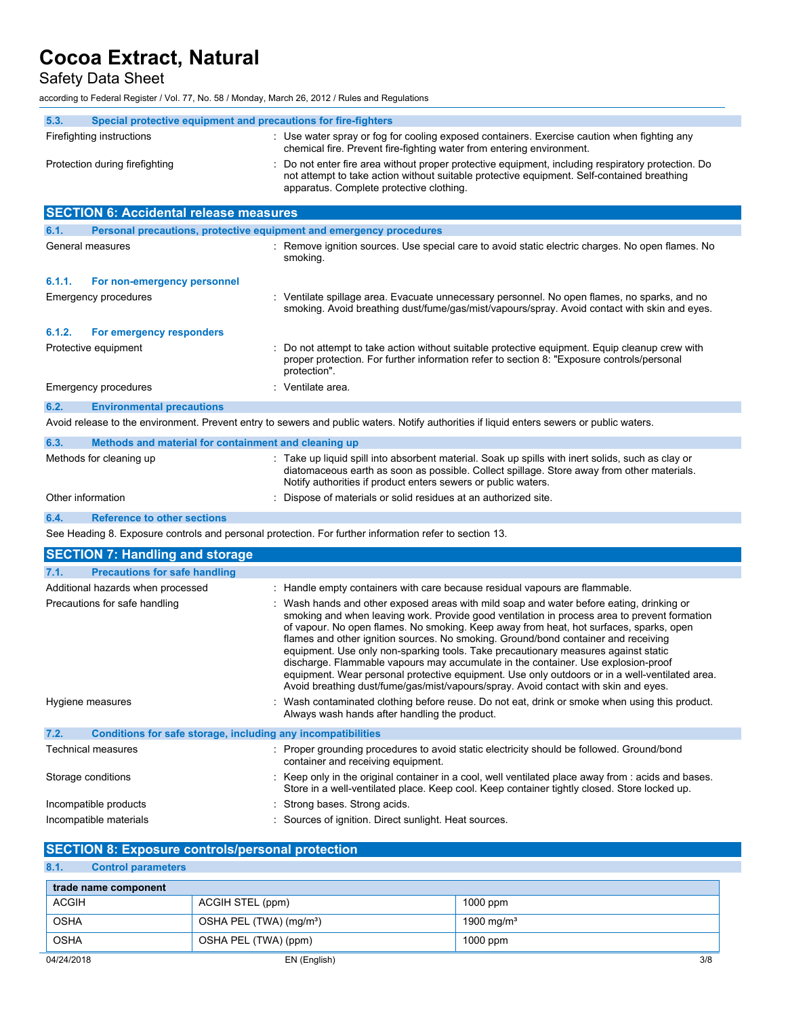Safety Data Sheet

according to Federal Register / Vol. 77, No. 58 / Monday, March 26, 2012 / Rules and Regulations

| 5.3.                           | Special protective equipment and precautions for fire-fighters |                                                                                                                                                                                                                                                                                                                                                                                                                                                                                                                                                                                                                                                                                                                                             |  |
|--------------------------------|----------------------------------------------------------------|---------------------------------------------------------------------------------------------------------------------------------------------------------------------------------------------------------------------------------------------------------------------------------------------------------------------------------------------------------------------------------------------------------------------------------------------------------------------------------------------------------------------------------------------------------------------------------------------------------------------------------------------------------------------------------------------------------------------------------------------|--|
|                                | Firefighting instructions                                      | : Use water spray or fog for cooling exposed containers. Exercise caution when fighting any<br>chemical fire. Prevent fire-fighting water from entering environment.                                                                                                                                                                                                                                                                                                                                                                                                                                                                                                                                                                        |  |
| Protection during firefighting |                                                                | Do not enter fire area without proper protective equipment, including respiratory protection. Do<br>not attempt to take action without suitable protective equipment. Self-contained breathing<br>apparatus. Complete protective clothing.                                                                                                                                                                                                                                                                                                                                                                                                                                                                                                  |  |
|                                | <b>SECTION 6: Accidental release measures</b>                  |                                                                                                                                                                                                                                                                                                                                                                                                                                                                                                                                                                                                                                                                                                                                             |  |
| 6.1.                           |                                                                | Personal precautions, protective equipment and emergency procedures                                                                                                                                                                                                                                                                                                                                                                                                                                                                                                                                                                                                                                                                         |  |
|                                | General measures                                               | : Remove ignition sources. Use special care to avoid static electric charges. No open flames. No<br>smoking.                                                                                                                                                                                                                                                                                                                                                                                                                                                                                                                                                                                                                                |  |
| 6.1.1.                         | For non-emergency personnel                                    |                                                                                                                                                                                                                                                                                                                                                                                                                                                                                                                                                                                                                                                                                                                                             |  |
|                                | Emergency procedures                                           | : Ventilate spillage area. Evacuate unnecessary personnel. No open flames, no sparks, and no<br>smoking. Avoid breathing dust/fume/gas/mist/vapours/spray. Avoid contact with skin and eyes.                                                                                                                                                                                                                                                                                                                                                                                                                                                                                                                                                |  |
| 6.1.2.                         | For emergency responders                                       |                                                                                                                                                                                                                                                                                                                                                                                                                                                                                                                                                                                                                                                                                                                                             |  |
|                                | Protective equipment                                           | Do not attempt to take action without suitable protective equipment. Equip cleanup crew with<br>proper protection. For further information refer to section 8: "Exposure controls/personal<br>protection".                                                                                                                                                                                                                                                                                                                                                                                                                                                                                                                                  |  |
|                                | <b>Emergency procedures</b>                                    | : Ventilate area.                                                                                                                                                                                                                                                                                                                                                                                                                                                                                                                                                                                                                                                                                                                           |  |
| 6.2.                           | <b>Environmental precautions</b>                               |                                                                                                                                                                                                                                                                                                                                                                                                                                                                                                                                                                                                                                                                                                                                             |  |
|                                |                                                                | Avoid release to the environment. Prevent entry to sewers and public waters. Notify authorities if liquid enters sewers or public waters.                                                                                                                                                                                                                                                                                                                                                                                                                                                                                                                                                                                                   |  |
| 6.3.                           | Methods and material for containment and cleaning up           |                                                                                                                                                                                                                                                                                                                                                                                                                                                                                                                                                                                                                                                                                                                                             |  |
|                                | Methods for cleaning up                                        | : Take up liquid spill into absorbent material. Soak up spills with inert solids, such as clay or<br>diatomaceous earth as soon as possible. Collect spillage. Store away from other materials.<br>Notify authorities if product enters sewers or public waters.                                                                                                                                                                                                                                                                                                                                                                                                                                                                            |  |
|                                | Other information                                              | Dispose of materials or solid residues at an authorized site.                                                                                                                                                                                                                                                                                                                                                                                                                                                                                                                                                                                                                                                                               |  |
| 6.4.                           | <b>Reference to other sections</b>                             |                                                                                                                                                                                                                                                                                                                                                                                                                                                                                                                                                                                                                                                                                                                                             |  |
|                                |                                                                | See Heading 8. Exposure controls and personal protection. For further information refer to section 13.                                                                                                                                                                                                                                                                                                                                                                                                                                                                                                                                                                                                                                      |  |
|                                | <b>SECTION 7: Handling and storage</b>                         |                                                                                                                                                                                                                                                                                                                                                                                                                                                                                                                                                                                                                                                                                                                                             |  |
| 7.1.                           | <b>Precautions for safe handling</b>                           |                                                                                                                                                                                                                                                                                                                                                                                                                                                                                                                                                                                                                                                                                                                                             |  |
|                                | Additional hazards when processed                              | : Handle empty containers with care because residual vapours are flammable.                                                                                                                                                                                                                                                                                                                                                                                                                                                                                                                                                                                                                                                                 |  |
|                                | Precautions for safe handling                                  | : Wash hands and other exposed areas with mild soap and water before eating, drinking or<br>smoking and when leaving work. Provide good ventilation in process area to prevent formation<br>of vapour. No open flames. No smoking. Keep away from heat, hot surfaces, sparks, open<br>flames and other ignition sources. No smoking. Ground/bond container and receiving<br>equipment. Use only non-sparking tools. Take precautionary measures against static<br>discharge. Flammable vapours may accumulate in the container. Use explosion-proof<br>equipment. Wear personal protective equipment. Use only outdoors or in a well-ventilated area.<br>Avoid breathing dust/fume/gas/mist/vapours/spray. Avoid contact with skin and eyes |  |
|                                | Hygiene measures                                               | : Wash contaminated clothing before reuse. Do not eat, drink or smoke when using this product.<br>Always wash hands after handling the product.                                                                                                                                                                                                                                                                                                                                                                                                                                                                                                                                                                                             |  |
| 7.2.                           | Conditions for safe storage, including any incompatibilities   |                                                                                                                                                                                                                                                                                                                                                                                                                                                                                                                                                                                                                                                                                                                                             |  |
|                                | Technical measures                                             | : Proper grounding procedures to avoid static electricity should be followed. Ground/bond<br>container and receiving equipment.                                                                                                                                                                                                                                                                                                                                                                                                                                                                                                                                                                                                             |  |
|                                | Storage conditions                                             | : Keep only in the original container in a cool, well ventilated place away from : acids and bases.<br>Store in a well-ventilated place. Keep cool. Keep container tightly closed. Store locked up.                                                                                                                                                                                                                                                                                                                                                                                                                                                                                                                                         |  |
| Incompatible products          |                                                                | Strong bases. Strong acids.                                                                                                                                                                                                                                                                                                                                                                                                                                                                                                                                                                                                                                                                                                                 |  |

# **SECTION 8: Exposure controls/personal protection**

# **8.1. Control parameters**

| trade name component |                                     |                        |
|----------------------|-------------------------------------|------------------------|
| <b>ACGIH</b>         | ACGIH STEL (ppm)                    | $1000$ ppm             |
| <b>OSHA</b>          | OSHA PEL (TWA) (mg/m <sup>3</sup> ) | 1900 mg/m <sup>3</sup> |
| <b>OSHA</b>          | OSHA PEL (TWA) (ppm)                | $1000$ ppm             |
| 04/24/2018           | EN (English)                        | 3/8                    |

Incompatible materials **incompatible materials** : Sources of ignition. Direct sunlight. Heat sources.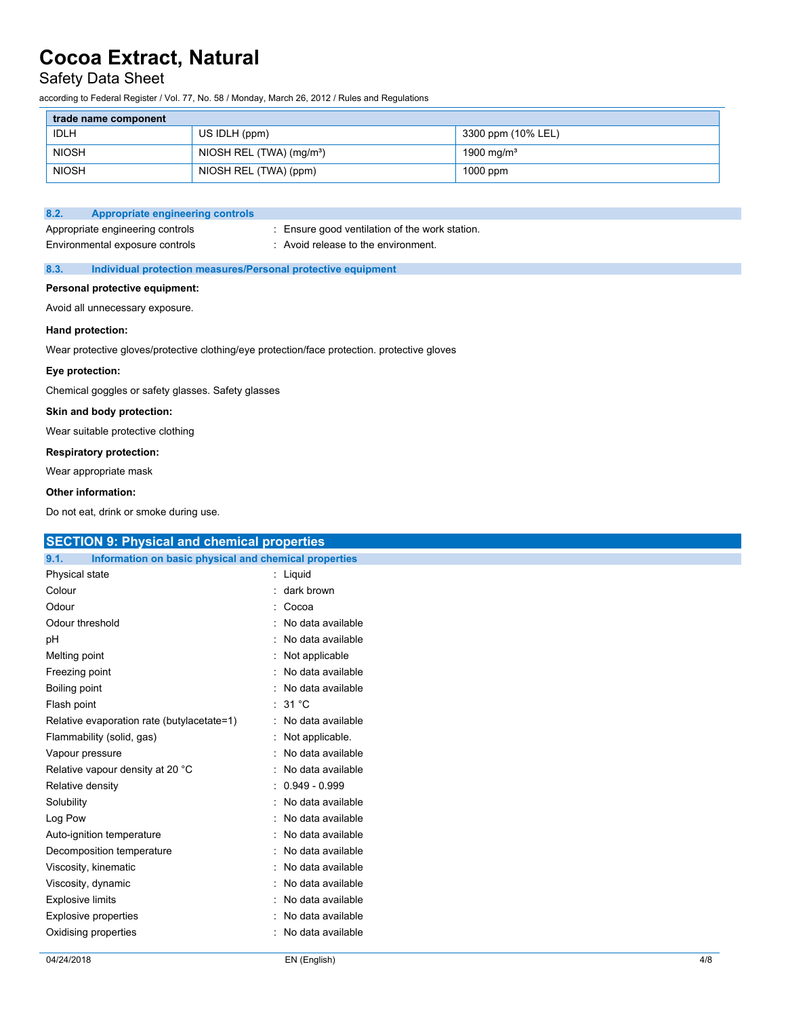# Safety Data Sheet

according to Federal Register / Vol. 77, No. 58 / Monday, March 26, 2012 / Rules and Regulations

| trade name component |                                        |                        |
|----------------------|----------------------------------------|------------------------|
| <b>IDLH</b>          | US IDLH (ppm)                          | 3300 ppm (10% LEL)     |
| <b>NIOSH</b>         | NIOSH REL $(TWA)$ (mg/m <sup>3</sup> ) | 1900 mg/m <sup>3</sup> |
| <b>NIOSH</b>         | NIOSH REL (TWA) (ppm)                  | $1000$ ppm             |

#### **8.2. Appropriate engineering controls**

Appropriate engineering controls : Ensure good ventilation of the work station. Environmental exposure controls : Avoid release to the environment.

### **8.3. Individual protection measures/Personal protective equipment**

#### **Personal protective equipment:**

Avoid all unnecessary exposure.

#### **Hand protection:**

Wear protective gloves/protective clothing/eye protection/face protection. protective gloves

### **Eye protection:**

Chemical goggles or safety glasses. Safety glasses

#### **Skin and body protection:**

Wear suitable protective clothing

### **Respiratory protection:**

Wear appropriate mask

#### **Other information:**

Do not eat, drink or smoke during use.

| <b>SECTION 9: Physical and chemical properties</b>            |                     |  |
|---------------------------------------------------------------|---------------------|--|
| Information on basic physical and chemical properties<br>9.1. |                     |  |
| Physical state                                                | : Liquid            |  |
| Colour                                                        | : dark brown        |  |
| Odour                                                         | : Cocoa             |  |
| Odour threshold                                               | : No data available |  |
| рH                                                            | : No data available |  |
| Melting point                                                 | : Not applicable    |  |
| Freezing point                                                | : No data available |  |
| Boiling point                                                 | : No data available |  |
| Flash point                                                   | : $31^{\circ}$ C    |  |
| Relative evaporation rate (butylacetate=1)                    | : No data available |  |
| Flammability (solid, gas)                                     | : Not applicable.   |  |
| Vapour pressure                                               | : No data available |  |
| Relative vapour density at 20 °C                              | : No data available |  |
| Relative density                                              | $: 0.949 - 0.999$   |  |
| Solubility                                                    | : No data available |  |
| Log Pow                                                       | : No data available |  |
| Auto-ignition temperature                                     | : No data available |  |
| Decomposition temperature                                     | : No data available |  |
| Viscosity, kinematic                                          | : No data available |  |
| Viscosity, dynamic                                            | : No data available |  |
| <b>Explosive limits</b>                                       | : No data available |  |
| <b>Explosive properties</b>                                   | : No data available |  |
| Oxidising properties                                          | : No data available |  |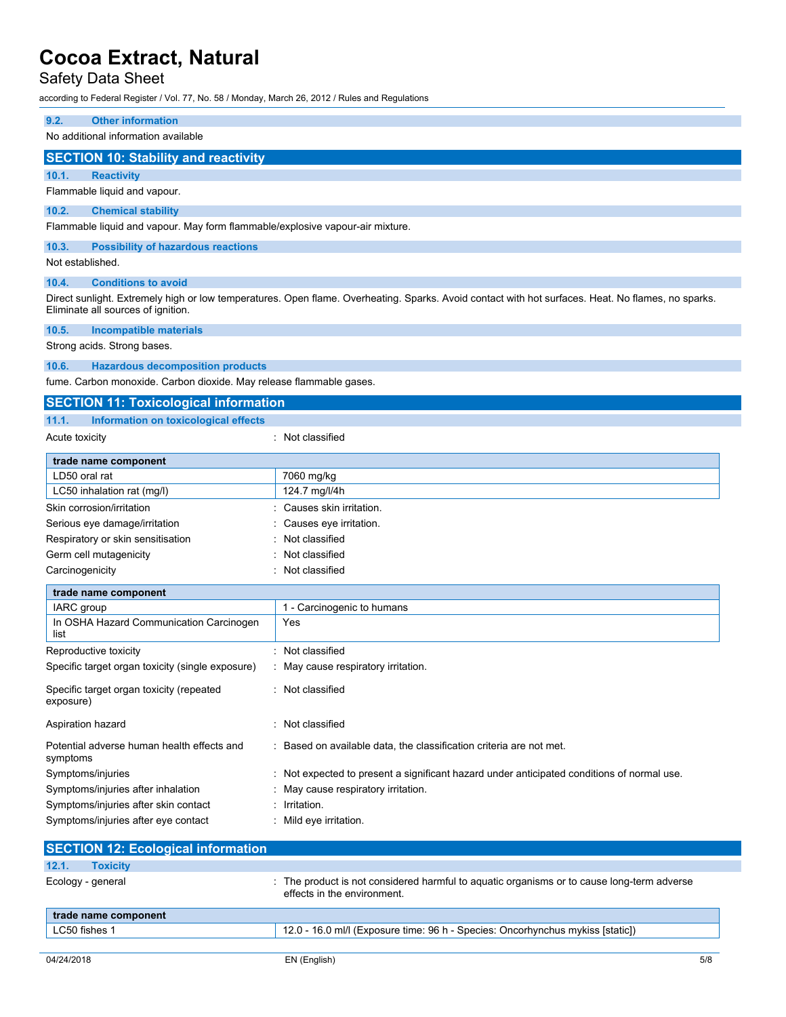# Safety Data Sheet

according to Federal Register / Vol. 77, No. 58 / Monday, March 26, 2012 / Rules and Regulations

### **9.2. Other information**

No additional information available

### **SECTION 10: Stability and reactivity**

**10.1. Reactivity**

Flammable liquid and vapour.

#### **10.2. Chemical stability**

Flammable liquid and vapour. May form flammable/explosive vapour-air mixture.

## **10.3. Possibility of hazardous reactions**

Not established.

#### **10.4. Conditions to avoid**

Direct sunlight. Extremely high or low temperatures. Open flame. Overheating. Sparks. Avoid contact with hot surfaces. Heat. No flames, no sparks. Eliminate all sources of ignition.

#### **10.5. Incompatible materials**

Strong acids. Strong bases.

#### **10.6. Hazardous decomposition products**

fume. Carbon monoxide. Carbon dioxide. May release flammable gases.

# **SECTION 11: Toxicological information**

| 11.1. | Information on toxicological effects |  |  |
|-------|--------------------------------------|--|--|
|       |                                      |  |  |

| Acute toxicity |
|----------------|
|                |

Acute toxicity **in the case of the Case of the Case of the Case of the Case of the Case of the Case of the Case of the Case of the Case of the Case of the Case of the Case of the Case of the Case of the Case of the Case of** 

| trade name component              |                           |
|-----------------------------------|---------------------------|
| LD50 oral rat                     | 7060 mg/kg                |
| LC50 inhalation rat (mg/l)        | 124.7 mg/l/4h             |
| Skin corrosion/irritation         | : Causes skin irritation. |
| Serious eye damage/irritation     | Causes eye irritation.    |
| Respiratory or skin sensitisation | : Not classified          |
| Germ cell mutagenicity            | : Not classified          |
| Carcinogenicity                   | : Not classified          |

| trade name component                                   |                                                                                            |
|--------------------------------------------------------|--------------------------------------------------------------------------------------------|
| <b>IARC</b> group                                      | - Carcinogenic to humans                                                                   |
| In OSHA Hazard Communication Carcinogen<br>list        | Yes                                                                                        |
| Reproductive toxicity                                  | Not classified                                                                             |
| Specific target organ toxicity (single exposure)       | : May cause respiratory irritation.                                                        |
| Specific target organ toxicity (repeated<br>exposure)  | : Not classified                                                                           |
| Aspiration hazard                                      | Not classified                                                                             |
| Potential adverse human health effects and<br>symptoms | : Based on available data, the classification criteria are not met.                        |
| Symptoms/injuries                                      | : Not expected to present a significant hazard under anticipated conditions of normal use. |
| Symptoms/injuries after inhalation                     | : May cause respiratory irritation.                                                        |
| Symptoms/injuries after skin contact                   | $:$ Irritation.                                                                            |
| Symptoms/injuries after eye contact                    | Mild eye irritation.                                                                       |

| <b>SECTION 12: Ecological information</b> |                                                                                                                           |  |  |  |
|-------------------------------------------|---------------------------------------------------------------------------------------------------------------------------|--|--|--|
| 12.1.<br><b>Toxicity</b>                  |                                                                                                                           |  |  |  |
| Ecology - general                         | : The product is not considered harmful to aquatic organisms or to cause long-term adverse<br>effects in the environment. |  |  |  |
| trade name component                      |                                                                                                                           |  |  |  |
| LC50 fishes 1                             | 12.0 - 16.0 ml/l (Exposure time: 96 h - Species: Oncorhynchus mykiss [static])                                            |  |  |  |
|                                           |                                                                                                                           |  |  |  |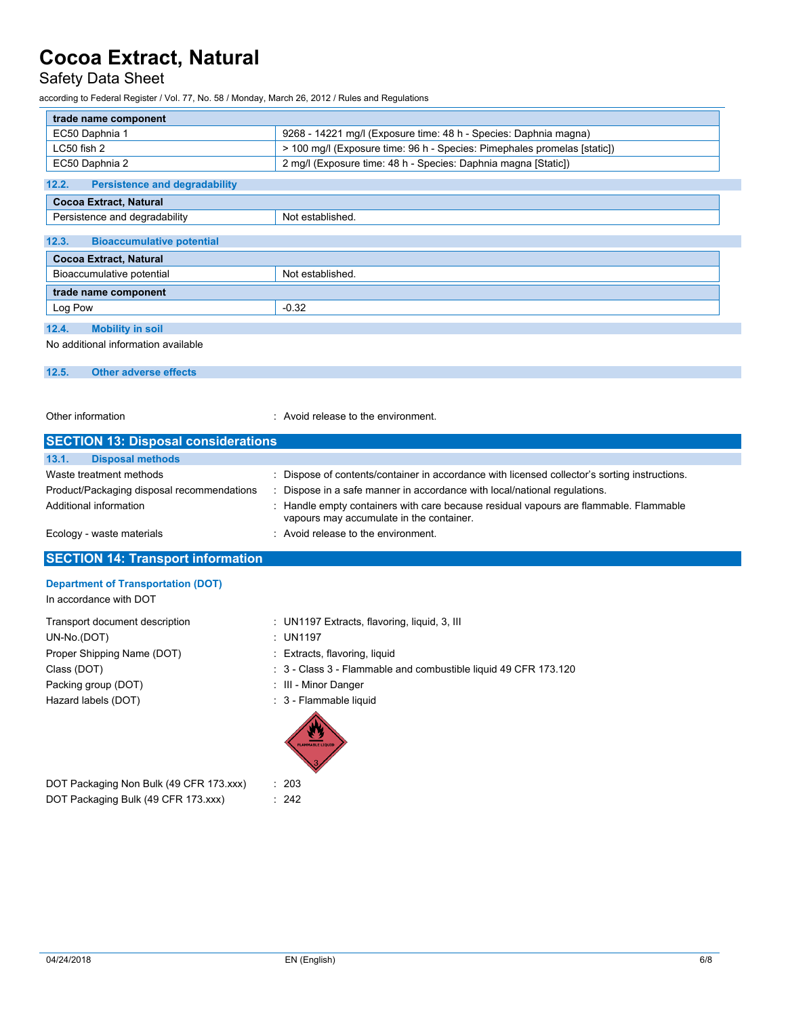# Safety Data Sheet

according to Federal Register / Vol. 77, No. 58 / Monday, March 26, 2012 / Rules and Regulations

| trade name component                          |                                                                          |  |
|-----------------------------------------------|--------------------------------------------------------------------------|--|
| EC50 Daphnia 1                                | 9268 - 14221 mg/l (Exposure time: 48 h - Species: Daphnia magna)         |  |
| LC50 fish 2                                   | > 100 mg/l (Exposure time: 96 h - Species: Pimephales promelas [static]) |  |
| EC50 Daphnia 2                                | 2 mg/l (Exposure time: 48 h - Species: Daphnia magna [Static])           |  |
| 12.2.<br><b>Persistence and degradability</b> |                                                                          |  |
| <b>Cocoa Extract, Natural</b>                 |                                                                          |  |
| Persistence and degradability                 | Not established.                                                         |  |
| 12.3.<br><b>Bioaccumulative potential</b>     |                                                                          |  |
| <b>Cocoa Extract, Natural</b>                 |                                                                          |  |
| Bioaccumulative potential<br>Not established. |                                                                          |  |
| trade name component                          |                                                                          |  |
| Log Pow                                       | $-0.32$                                                                  |  |
| 12.4.<br><b>Mobility in soil</b>              |                                                                          |  |
| No additional information available           |                                                                          |  |

**12.5. Other adverse effects**

Other information **COLOGY COLOGY COLOGY COLOGY COLOGY COLOGY COLOGY COLOGY COLOGY COLOGY COLOGY COLOGY COLOGY COLOGY COLOGY COLOGY COLOGY COLOGY COLOGY COLOGY COLOGY COLOGY COLOG** 

| <b>SECTION 13: Disposal considerations</b>                            |                                                                                                                                                                            |  |  |  |
|-----------------------------------------------------------------------|----------------------------------------------------------------------------------------------------------------------------------------------------------------------------|--|--|--|
| 13.1.<br><b>Disposal methods</b>                                      |                                                                                                                                                                            |  |  |  |
| Waste treatment methods<br>Product/Packaging disposal recommendations | : Dispose of contents/container in accordance with licensed collector's sorting instructions.<br>: Dispose in a safe manner in accordance with local/national regulations. |  |  |  |
| Additional information                                                | : Handle empty containers with care because residual vapours are flammable. Flammable<br>vapours may accumulate in the container.                                          |  |  |  |
| Ecology - waste materials                                             | : Avoid release to the environment.                                                                                                                                        |  |  |  |
| <b>SECTION 14: Transport information</b>                              |                                                                                                                                                                            |  |  |  |
| <b>Department of Transportation (DOT)</b>                             |                                                                                                                                                                            |  |  |  |

In accordance with DOT

UN-No.(DOT) : UN1197 Proper Shipping Name (DOT) : Extracts, flavoring, liquid Packing group (DOT) **interest and the Contract Contract Contract Contract Contract Contract Contract Contract Contract Contract Contract Contract Contract Contract Contract Contract Contract Contract Contract Contract Cont** Hazard labels (DOT) **in the set of the COV** and Security 1: 3 - Flammable liquid

- Transport document description : UN1197 Extracts, flavoring, liquid, 3, III
	-
	-
- Class (DOT) **State 2** and Combustible liquid 49 CFR 173.120
	-
	-



DOT Packaging Non Bulk (49 CFR 173.xxx) : 203 DOT Packaging Bulk (49 CFR 173.xxx) : 242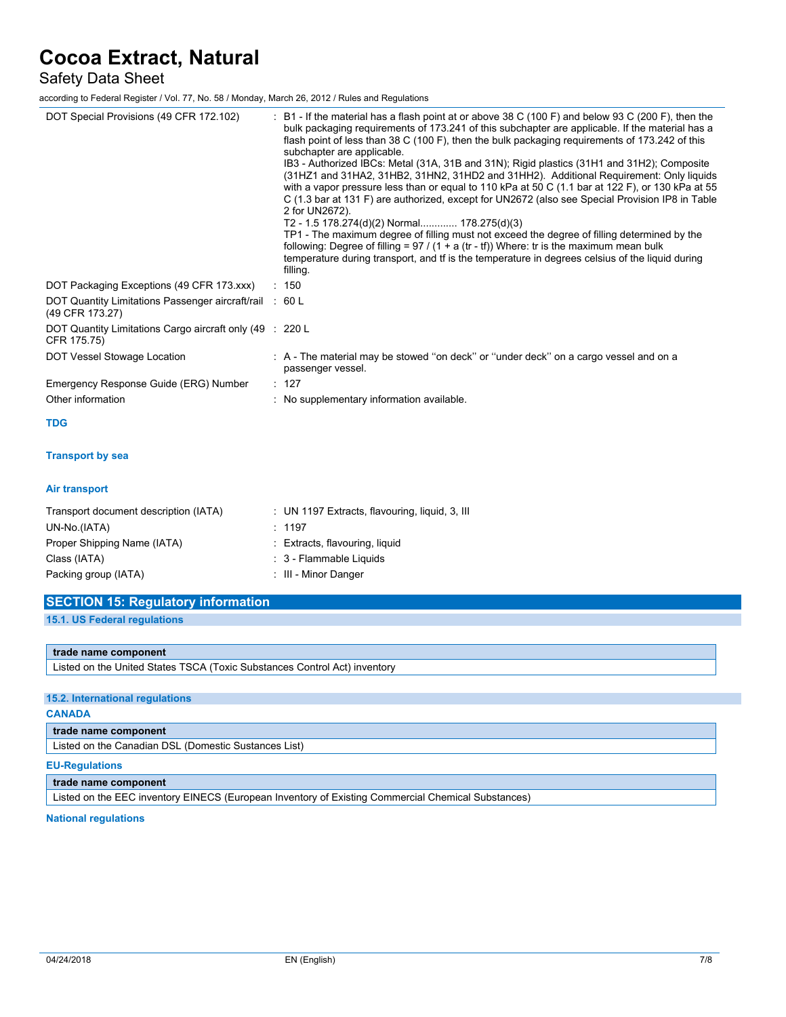Safety Data Sheet

according to Federal Register / Vol. 77, No. 58 / Monday, March 26, 2012 / Rules and Regulations

| DOT Special Provisions (49 CFR 172.102)                                    | : B1 - If the material has a flash point at or above 38 C (100 F) and below 93 C (200 F), then the<br>bulk packaging requirements of 173.241 of this subchapter are applicable. If the material has a<br>flash point of less than 38 C (100 F), then the bulk packaging requirements of 173.242 of this<br>subchapter are applicable.<br>IB3 - Authorized IBCs: Metal (31A, 31B and 31N); Rigid plastics (31H1 and 31H2); Composite<br>(31HZ1 and 31HA2, 31HB2, 31HN2, 31HD2 and 31HH2). Additional Requirement: Only liquids<br>with a vapor pressure less than or equal to 110 kPa at 50 C (1.1 bar at 122 F), or 130 kPa at 55<br>C (1.3 bar at 131 F) are authorized, except for UN2672 (also see Special Provision IP8 in Table<br>2 for UN2672).<br>T2 - 1.5 178.274(d)(2) Normal 178.275(d)(3)<br>TP1 - The maximum degree of filling must not exceed the degree of filling determined by the<br>following: Degree of filling = $97 / (1 + a (tr - tf))$ Where: tr is the maximum mean bulk<br>temperature during transport, and tf is the temperature in degrees celsius of the liquid during<br>filling. |
|----------------------------------------------------------------------------|-------------------------------------------------------------------------------------------------------------------------------------------------------------------------------------------------------------------------------------------------------------------------------------------------------------------------------------------------------------------------------------------------------------------------------------------------------------------------------------------------------------------------------------------------------------------------------------------------------------------------------------------------------------------------------------------------------------------------------------------------------------------------------------------------------------------------------------------------------------------------------------------------------------------------------------------------------------------------------------------------------------------------------------------------------------------------------------------------------------------|
| DOT Packaging Exceptions (49 CFR 173.xxx)                                  | : 150                                                                                                                                                                                                                                                                                                                                                                                                                                                                                                                                                                                                                                                                                                                                                                                                                                                                                                                                                                                                                                                                                                             |
| DOT Quantity Limitations Passenger aircraft/rail : 60 L<br>(49 CFR 173.27) |                                                                                                                                                                                                                                                                                                                                                                                                                                                                                                                                                                                                                                                                                                                                                                                                                                                                                                                                                                                                                                                                                                                   |
| DOT Quantity Limitations Cargo aircraft only (49 : 220 L<br>CFR 175.75)    |                                                                                                                                                                                                                                                                                                                                                                                                                                                                                                                                                                                                                                                                                                                                                                                                                                                                                                                                                                                                                                                                                                                   |
| DOT Vessel Stowage Location                                                | : A - The material may be stowed "on deck" or "under deck" on a cargo vessel and on a<br>passenger vessel.                                                                                                                                                                                                                                                                                                                                                                                                                                                                                                                                                                                                                                                                                                                                                                                                                                                                                                                                                                                                        |
| Emergency Response Guide (ERG) Number                                      | : 127                                                                                                                                                                                                                                                                                                                                                                                                                                                                                                                                                                                                                                                                                                                                                                                                                                                                                                                                                                                                                                                                                                             |
| Other information                                                          | : No supplementary information available.                                                                                                                                                                                                                                                                                                                                                                                                                                                                                                                                                                                                                                                                                                                                                                                                                                                                                                                                                                                                                                                                         |
| <b>TDG</b>                                                                 |                                                                                                                                                                                                                                                                                                                                                                                                                                                                                                                                                                                                                                                                                                                                                                                                                                                                                                                                                                                                                                                                                                                   |
| <b>Transport by sea</b>                                                    |                                                                                                                                                                                                                                                                                                                                                                                                                                                                                                                                                                                                                                                                                                                                                                                                                                                                                                                                                                                                                                                                                                                   |
| Air transport                                                              |                                                                                                                                                                                                                                                                                                                                                                                                                                                                                                                                                                                                                                                                                                                                                                                                                                                                                                                                                                                                                                                                                                                   |
| Transport document description (IATA)<br>UN-No.(IATA)                      | : UN 1197 Extracts, flavouring, liquid, 3, III<br>: 1197                                                                                                                                                                                                                                                                                                                                                                                                                                                                                                                                                                                                                                                                                                                                                                                                                                                                                                                                                                                                                                                          |
| Proper Shipping Name (IATA)                                                | : Extracts, flavouring, liquid                                                                                                                                                                                                                                                                                                                                                                                                                                                                                                                                                                                                                                                                                                                                                                                                                                                                                                                                                                                                                                                                                    |
| Class (IATA)                                                               | : 3 - Flammable Liquids                                                                                                                                                                                                                                                                                                                                                                                                                                                                                                                                                                                                                                                                                                                                                                                                                                                                                                                                                                                                                                                                                           |
| Packing group (IATA)                                                       | : III - Minor Danger                                                                                                                                                                                                                                                                                                                                                                                                                                                                                                                                                                                                                                                                                                                                                                                                                                                                                                                                                                                                                                                                                              |

| <b>SECTION 15: Regulatory information</b> |
|-------------------------------------------|
| 15.1. US Federal regulations              |
|                                           |

### **trade name component**

Listed on the United States TSCA (Toxic Substances Control Act) inventory

### **15.2. International regulations**

## **CANADA**

**trade name component**

Listed on the Canadian DSL (Domestic Sustances List)

#### **EU-Regulations**

**trade name component**

Listed on the EEC inventory EINECS (European Inventory of Existing Commercial Chemical Substances)

### **National regulations**